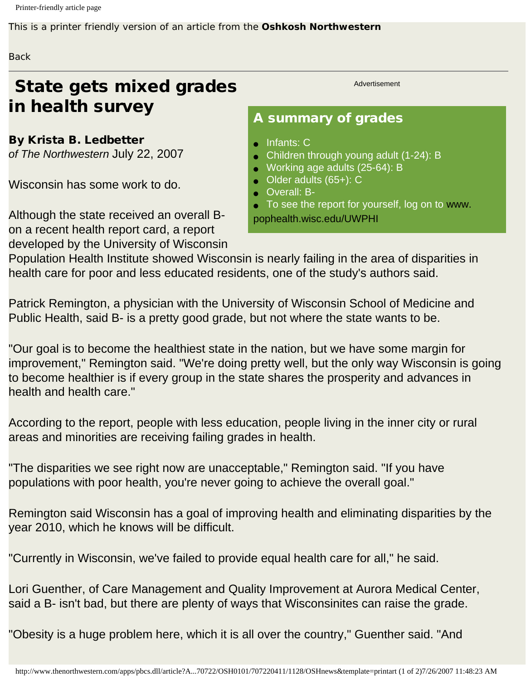Printer-friendly article page

This is a printer friendly version of an article from the **Oshkosh Northwestern**

## **Back**

## State gets mixed grades in health survey

By Krista B. Ledbetter *of The Northwestern* July 22, 2007

Wisconsin has some work to do.

Although the state received an overall Bon a recent health report card, a report developed by the University of Wisconsin Advertisement

## A summary of grades

- Infants: C
- Children through young adult (1-24): B
- Working age adults (25-64): B
- Older adults (65+): C
	- Overall: B-
- To see the report for yourself, log on to [www.](http://www.pophealth.wisc.edu/UWPHI)

[pophealth.wisc.edu/UWPHI](http://www.pophealth.wisc.edu/UWPHI)

Population Health Institute showed Wisconsin is nearly failing in the area of disparities in health care for poor and less educated residents, one of the study's authors said.

Patrick Remington, a physician with the University of Wisconsin School of Medicine and Public Health, said B- is a pretty good grade, but not where the state wants to be.

"Our goal is to become the healthiest state in the nation, but we have some margin for improvement," Remington said. "We're doing pretty well, but the only way Wisconsin is going to become healthier is if every group in the state shares the prosperity and advances in health and health care."

According to the report, people with less education, people living in the inner city or rural areas and minorities are receiving failing grades in health.

"The disparities we see right now are unacceptable," Remington said. "If you have populations with poor health, you're never going to achieve the overall goal."

Remington said Wisconsin has a goal of improving health and eliminating disparities by the year 2010, which he knows will be difficult.

"Currently in Wisconsin, we've failed to provide equal health care for all," he said.

Lori Guenther, of Care Management and Quality Improvement at Aurora Medical Center, said a B- isn't bad, but there are plenty of ways that Wisconsinites can raise the grade.

"Obesity is a huge problem here, which it is all over the country," Guenther said. "And